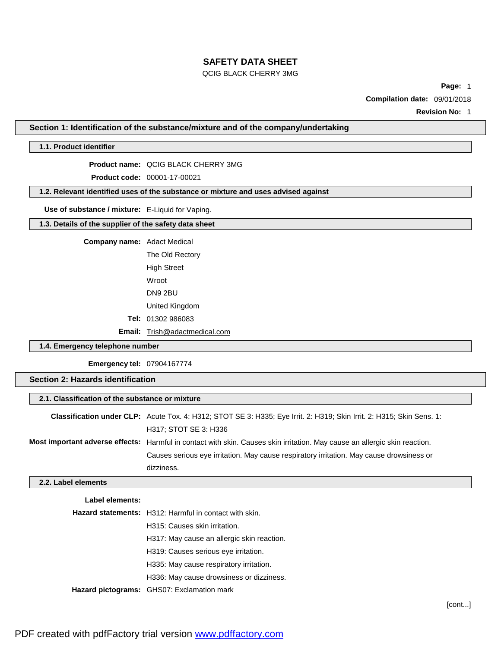# QCIG BLACK CHERRY 3MG

**Page:** 1

**Compilation date:** 09/01/2018

**Revision No:** 1

**Section 1: Identification of the substance/mixture and of the company/undertaking**

# **1.1. Product identifier**

**Product name:** QCIG BLACK CHERRY 3MG

**Product code:** 00001-17-00021

**1.2. Relevant identified uses of the substance or mixture and uses advised against**

**Use of substance / mixture:** E-Liquid for Vaping.

**1.3. Details of the supplier of the safety data sheet**

**Company name:** Adact Medical

The Old Rectory High Street Wroot DN9 2BU United Kingdom **Tel:** 01302 986083

**Email:** [Trish@adactmedical.com](mailto:Trish@adactmedical.com)

# **1.4. Emergency telephone number**

**Emergency tel:** 07904167774

# **Section 2: Hazards identification**

| 2.1. Classification of the substance or mixture |                                                                                                                            |  |  |  |
|-------------------------------------------------|----------------------------------------------------------------------------------------------------------------------------|--|--|--|
|                                                 | Classification under CLP: Acute Tox. 4: H312; STOT SE 3: H335; Eye Irrit. 2: H319; Skin Irrit. 2: H315; Skin Sens. 1:      |  |  |  |
|                                                 | H317; STOT SE 3: H336                                                                                                      |  |  |  |
|                                                 | Most important adverse effects: Harmful in contact with skin. Causes skin irritation. May cause an allergic skin reaction. |  |  |  |
|                                                 | Causes serious eye irritation. May cause respiratory irritation. May cause drowsiness or                                   |  |  |  |
| dizziness.                                      |                                                                                                                            |  |  |  |

#### **2.2. Label elements**

| Label elements: |                                                               |
|-----------------|---------------------------------------------------------------|
|                 | <b>Hazard statements:</b> H312: Harmful in contact with skin. |
|                 | H315: Causes skin irritation.                                 |
|                 | H317: May cause an allergic skin reaction.                    |
|                 | H319: Causes serious eye irritation.                          |
|                 | H335: May cause respiratory irritation.                       |
|                 | H336: May cause drowsiness or dizziness.                      |
|                 | Hazard pictograms: GHS07: Exclamation mark                    |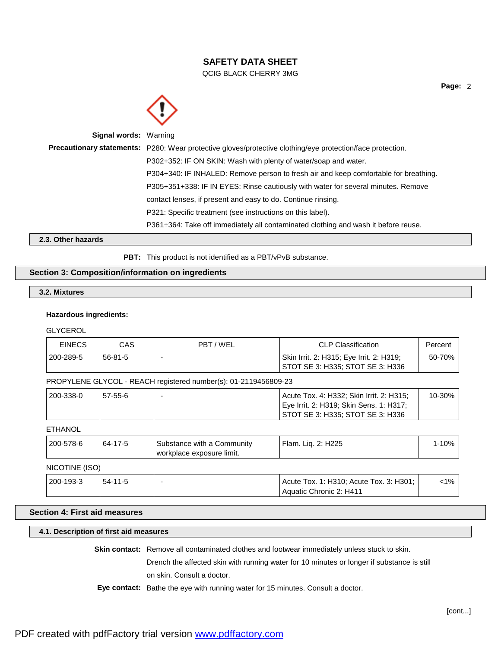QCIG BLACK CHERRY 3MG



| <b>Signal words: Warning</b> |                                                                                                            |
|------------------------------|------------------------------------------------------------------------------------------------------------|
|                              | Precautionary statements: P280: Wear protective gloves/protective clothing/eye protection/face protection. |
|                              | P302+352: IF ON SKIN: Wash with plenty of water/soap and water.                                            |
|                              | P304+340: IF INHALED: Remove person to fresh air and keep comfortable for breathing.                       |
|                              | P305+351+338: IF IN EYES: Rinse cautiously with water for several minutes. Remove                          |
|                              | contact lenses, if present and easy to do. Continue rinsing.                                               |
|                              | P321: Specific treatment (see instructions on this label).                                                 |
|                              | P361+364: Take off immediately all contaminated clothing and wash it before reuse.                         |

**2.3. Other hazards**

PBT: This product is not identified as a PBT/vPvB substance.

# **Section 3: Composition/information on ingredients**

# **3.2. Mixtures**

# **Hazardous ingredients:**

**GLYCEROL** 

| <b>EINECS</b>  | CAS           | PBT/WEL                                                         | <b>CLP Classification</b>                                                                                               | Percent  |
|----------------|---------------|-----------------------------------------------------------------|-------------------------------------------------------------------------------------------------------------------------|----------|
| 200-289-5      | $56 - 81 - 5$ |                                                                 | Skin Irrit. 2: H315; Eye Irrit. 2: H319;<br>STOT SE 3: H335; STOT SE 3: H336                                            | 50-70%   |
|                |               | PROPYLENE GLYCOL - REACH registered number(s): 01-2119456809-23 |                                                                                                                         |          |
| 200-338-0      | $57-55-6$     |                                                                 | Acute Tox. 4: H332; Skin Irrit. 2: H315;<br>Eye Irrit. 2: H319; Skin Sens. 1: H317;<br>STOT SE 3: H335; STOT SE 3: H336 | 10-30%   |
| <b>ETHANOL</b> |               |                                                                 |                                                                                                                         |          |
|                |               |                                                                 |                                                                                                                         | $\cdots$ |

| 200-578-6      | 64-17-5 | Substance with a Community<br>l workplace exposure limit. | Flam. Lig. 2: H225 | 1-10% |  |  |
|----------------|---------|-----------------------------------------------------------|--------------------|-------|--|--|
| NICOTINE (ISO) |         |                                                           |                    |       |  |  |

#### 200-193-3 54-11-5 - Acute Tox. 1: H310; Acute Tox. 3: H301; Aquatic Chronic 2: H411  $1%$

# **Section 4: First aid measures**

# **4.1. Description of first aid measures**

**Skin contact:** Remove all contaminated clothes and footwear immediately unless stuck to skin.

Drench the affected skin with running water for 10 minutes or longer if substance is still on skin. Consult a doctor.

**Eye contact:** Bathe the eye with running water for 15 minutes. Consult a doctor.

**Page:** 2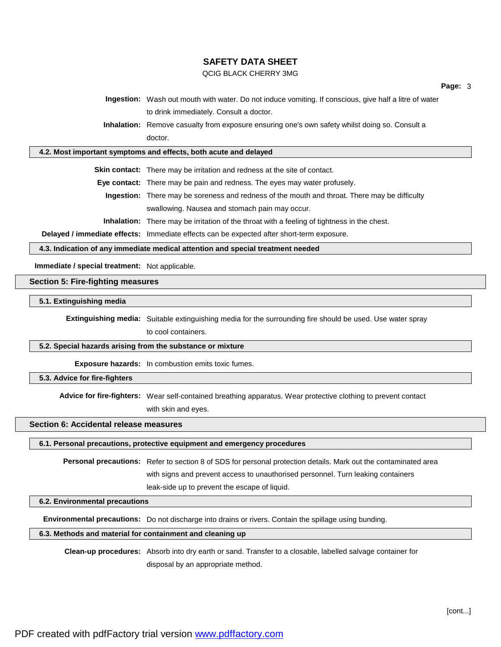### QCIG BLACK CHERRY 3MG

**Ingestion:** Wash out mouth with water. Do not induce vomiting. If conscious, give half a litre of water to drink immediately. Consult a doctor.

**Inhalation:** Remove casualty from exposure ensuring one's own safety whilst doing so. Consult a doctor.

#### **4.2. Most important symptoms and effects, both acute and delayed**

**Skin contact:** There may be irritation and redness at the site of contact.

**Eye contact:** There may be pain and redness. The eyes may water profusely.

**Ingestion:** There may be soreness and redness of the mouth and throat. There may be difficulty swallowing. Nausea and stomach pain may occur.

**Inhalation:** There may be irritation of the throat with a feeling of tightness in the chest.

**Delayed / immediate effects:** Immediate effects can be expected after short-term exposure.

#### **4.3. Indication of any immediate medical attention and special treatment needed**

**Immediate / special treatment:** Not applicable.

# **Section 5: Fire-fighting measures**

#### **5.1. Extinguishing media**

**Extinguishing media:** Suitable extinguishing media for the surrounding fire should be used. Use water spray to cool containers.

### **5.2. Special hazards arising from the substance or mixture**

**Exposure hazards:** In combustion emits toxic fumes.

### **5.3. Advice for fire-fighters**

**Advice for fire-fighters:** Wear self-contained breathing apparatus. Wear protective clothing to prevent contact

with skin and eyes.

## **Section 6: Accidental release measures**

**6.1. Personal precautions, protective equipment and emergency procedures**

**Personal precautions:** Refer to section 8 of SDS for personal protection details. Mark out the contaminated area with signs and prevent access to unauthorised personnel. Turn leaking containers leak-side up to prevent the escape of liquid.

#### **6.2. Environmental precautions**

**Environmental precautions:** Do not discharge into drains or rivers. Contain the spillage using bunding.

### **6.3. Methods and material for containment and cleaning up**

**Clean-up procedures:** Absorb into dry earth or sand. Transfer to a closable, labelled salvage container for disposal by an appropriate method.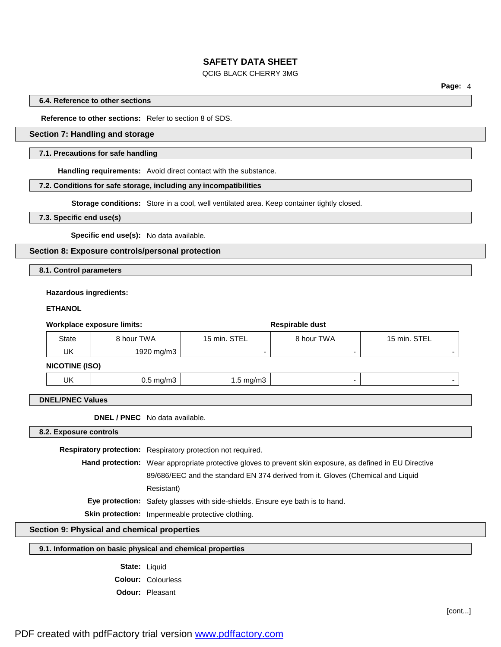### QCIG BLACK CHERRY 3MG

**Page:** 4

#### **6.4. Reference to other sections**

**Reference to other sections:** Refer to section 8 of SDS.

# **Section 7: Handling and storage**

#### **7.1. Precautions for safe handling**

**Handling requirements:** Avoid direct contact with the substance.

### **7.2. Conditions for safe storage, including any incompatibilities**

**Storage conditions:** Store in a cool, well ventilated area. Keep container tightly closed.

**7.3. Specific end use(s)**

**Specific end use(s):** No data available.

# **Section 8: Exposure controls/personal protection**

**8.1. Control parameters**

#### **Hazardous ingredients:**

#### **ETHANOL**

| Workplace exposure limits: |                       |            |              | Respirable dust          |              |  |
|----------------------------|-----------------------|------------|--------------|--------------------------|--------------|--|
|                            | State                 | 8 hour TWA | 15 min. STEL | 8 hour TWA               | 15 min. STEL |  |
|                            | UK                    | 1920 mg/m3 |              | $\overline{\phantom{0}}$ |              |  |
|                            | <b>NICOTINE (ISO)</b> |            |              |                          |              |  |

| UK | ma/m3<br>$\sim$ $\sim$ $\sim$<br>$\sim$<br>$\sim$ | $\overline{\phantom{a}}$<br>ma/ms<br>ا ا ب ا<br>$\sim$<br>. . |  |
|----|---------------------------------------------------|---------------------------------------------------------------|--|
|    |                                                   |                                                               |  |

# **DNEL/PNEC Values**

**DNEL / PNEC** No data available.

**8.2. Exposure controls**

**Respiratory protection:** Respiratory protection not required. **Hand protection:** Wear appropriate protective gloves to prevent skin exposure, as defined in EU Directive 89/686/EEC and the standard EN 374 derived from it. Gloves (Chemical and Liquid Resistant) **Eye protection:** Safety glasses with side-shields. Ensure eye bath is to hand. **Skin protection:** Impermeable protective clothing.

# **Section 9: Physical and chemical properties**

# **9.1. Information on basic physical and chemical properties**

**State:** Liquid **Colour:** Colourless **Odour:** Pleasant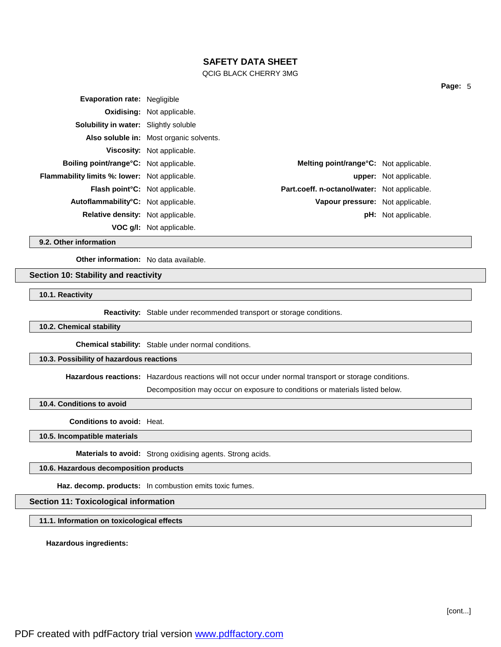QCIG BLACK CHERRY 3MG

| <b>Evaporation rate: Negligible</b>                  |                                         |                                                |                               |
|------------------------------------------------------|-----------------------------------------|------------------------------------------------|-------------------------------|
|                                                      | <b>Oxidising:</b> Not applicable.       |                                                |                               |
| <b>Solubility in water:</b> Slightly soluble         |                                         |                                                |                               |
|                                                      | Also soluble in: Most organic solvents. |                                                |                               |
|                                                      | Viscosity: Not applicable.              |                                                |                               |
| <b>Boiling point/range °C:</b> Not applicable.       |                                         | <b>Melting point/range °C:</b> Not applicable. |                               |
| <b>Flammability limits %: lower:</b> Not applicable. |                                         |                                                | <b>upper:</b> Not applicable. |
| <b>Flash point C:</b> Not applicable.                |                                         | Part.coeff. n-octanol/water: Not applicable.   |                               |
| Autoflammability°C: Not applicable.                  |                                         | Vapour pressure: Not applicable.               |                               |
| <b>Relative density:</b> Not applicable.             |                                         |                                                | <b>pH:</b> Not applicable.    |
|                                                      | VOC g/l: Not applicable.                |                                                |                               |

**9.2. Other information**

**Other information:** No data available.

### **Section 10: Stability and reactivity**

**10.1. Reactivity**

**Reactivity:** Stable under recommended transport or storage conditions.

### **10.2. Chemical stability**

**Chemical stability:** Stable under normal conditions.

# **10.3. Possibility of hazardous reactions**

**Hazardous reactions:** Hazardous reactions will not occur under normal transport or storage conditions.

Decomposition may occur on exposure to conditions or materials listed below.

**10.4. Conditions to avoid**

**Conditions to avoid:** Heat.

**10.5. Incompatible materials**

**Materials to avoid:** Strong oxidising agents. Strong acids.

**10.6. Hazardous decomposition products**

**Haz. decomp. products:** In combustion emits toxic fumes.

#### **Section 11: Toxicological information**

**11.1. Information on toxicological effects**

**Hazardous ingredients:**

[cont...]

**Page:** 5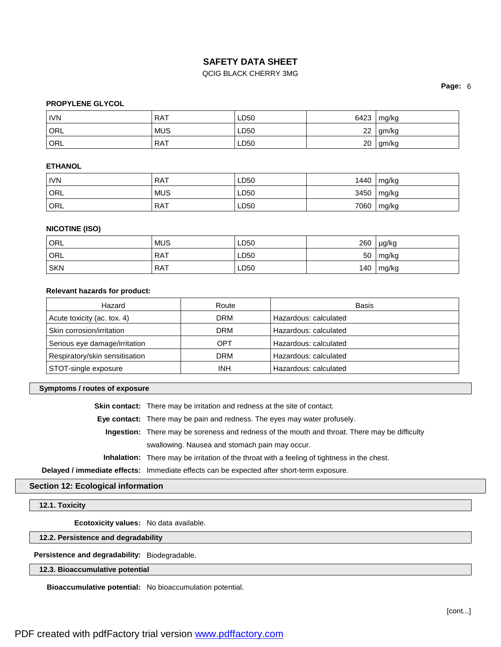# QCIG BLACK CHERRY 3MG

**Page:** 6

# **PROPYLENE GLYCOL**

| <b>IVN</b>       | <b>RAT</b> | LD50 | 6423 | mg/kg |
|------------------|------------|------|------|-------|
| ORL <sup>1</sup> | <b>MUS</b> | LD50 | 22   | gm/kg |
| ORL              | <b>RAT</b> | LD50 | 20   | gm/kg |

## **ETHANOL**

| <b>IVN</b> | <b>RAT</b> | LD50 | 1440 | mg/kg         |
|------------|------------|------|------|---------------|
| ORL        | <b>MUS</b> | LD50 | 3450 | $\vert$ mg/kg |
| ' ORL      | RAT        | LD50 | 7060 | mg/kg         |

# **NICOTINE (ISO)**

| ORL        | <b>MUS</b> | LD50 | 260 | µg/kg |
|------------|------------|------|-----|-------|
| ORL        | <b>RAT</b> | LD50 | 50  | mg/kg |
| <b>SKN</b> | <b>RAT</b> | LD50 | 140 | mg/kg |

### **Relevant hazards for product:**

| Hazard                         | Route      | Basis                 |
|--------------------------------|------------|-----------------------|
| Acute toxicity (ac. tox. 4)    | <b>DRM</b> | Hazardous: calculated |
| Skin corrosion/irritation      | <b>DRM</b> | Hazardous: calculated |
| Serious eye damage/irritation  | OPT        | Hazardous: calculated |
| Respiratory/skin sensitisation | <b>DRM</b> | Hazardous: calculated |
| STOT-single exposure           | <b>INH</b> | Hazardous: calculated |

#### **Symptoms / routes of exposure**

**Skin contact:** There may be irritation and redness at the site of contact.

**Eye contact:** There may be pain and redness. The eyes may water profusely.

**Ingestion:** There may be soreness and redness of the mouth and throat. There may be difficulty swallowing. Nausea and stomach pain may occur.

**Inhalation:** There may be irritation of the throat with a feeling of tightness in the chest.

**Delayed / immediate effects:** Immediate effects can be expected after short-term exposure.

# **Section 12: Ecological information**

**12.1. Toxicity**

**Ecotoxicity values:** No data available.

**12.2. Persistence and degradability**

**Persistence and degradability:** Biodegradable.

# **12.3. Bioaccumulative potential**

**Bioaccumulative potential:** No bioaccumulation potential.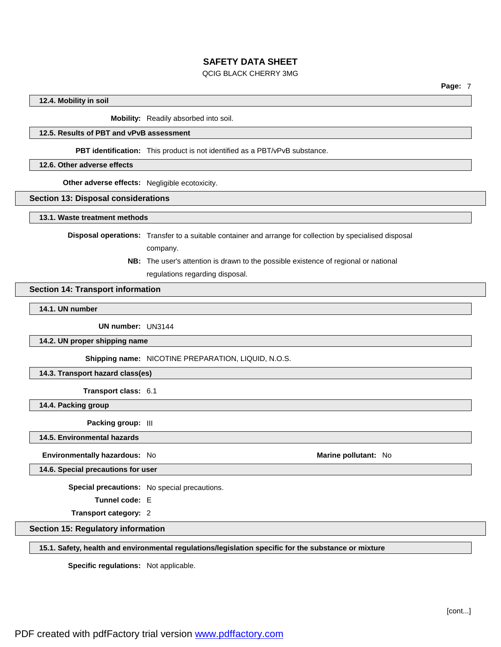### QCIG BLACK CHERRY 3MG

#### **12.4. Mobility in soil**

**Mobility:** Readily absorbed into soil.

# **12.5. Results of PBT and vPvB assessment**

**PBT identification:** This product is not identified as a PBT/vPvB substance.

### **12.6. Other adverse effects**

**Other adverse effects:** Negligible ecotoxicity.

### **Section 13: Disposal considerations**

**13.1. Waste treatment methods**

**Disposal operations:** Transfer to a suitable container and arrange for collection by specialised disposal

company.

**NB:** The user's attention is drawn to the possible existence of regional or national regulations regarding disposal.

### **Section 14: Transport information**

**14.1. UN number**

**UN number:** UN3144

**14.2. UN proper shipping name**

**Shipping name:** NICOTINE PREPARATION, LIQUID, N.O.S.

**14.3. Transport hazard class(es)**

**Transport class:** 6.1

**14.4. Packing group**

**Packing group:** III

**14.5. Environmental hazards**

**Environmentally hazardous:** No **Marine Marine Marine** pollutant: No **Marine Marine** pollutant: No

**14.6. Special precautions for user**

**Special precautions:** No special precautions.

**Tunnel code:** E

**Transport category:** 2

**Section 15: Regulatory information**

**15.1. Safety, health and environmental regulations/legislation specific for the substance or mixture**

**Specific regulations:** Not applicable.